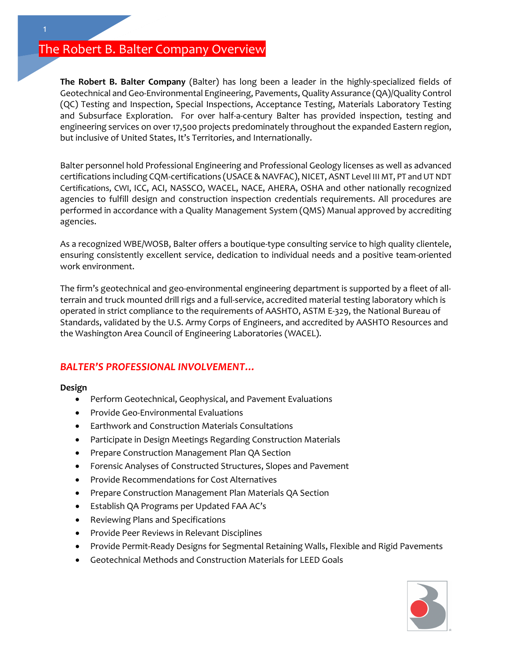# The Robert B. Balter Company Overview

**The Robert B. Balter Company** (Balter) has long been a leader in the highly-specialized fields of Geotechnical and Geo-Environmental Engineering, Pavements, Quality Assurance (QA)/Quality Control (QC) Testing and Inspection, Special Inspections, Acceptance Testing, Materials Laboratory Testing and Subsurface Exploration. For over half-a-century Balter has provided inspection, testing and engineering services on over 17,500 projects predominately throughout the expanded Eastern region, but inclusive of United States, It's Territories, and Internationally.

Balter personnel hold Professional Engineering and Professional Geology licenses as well as advanced certifications including CQM-certifications (USACE & NAVFAC), NICET, ASNT Level III MT, PT and UT NDT Certifications, CWI, ICC, ACI, NASSCO, WACEL, NACE, AHERA, OSHA and other nationally recognized agencies to fulfill design and construction inspection credentials requirements. All procedures are performed in accordance with a Quality Management System (QMS) Manual approved by accrediting agencies.

As a recognized WBE/WOSB, Balter offers a boutique-type consulting service to high quality clientele, ensuring consistently excellent service, dedication to individual needs and a positive team-oriented work environment.

The firm's geotechnical and geo-environmental engineering department is supported by a fleet of allterrain and truck mounted drill rigs and a full-service, accredited material testing laboratory which is operated in strict compliance to the requirements of AASHTO, ASTM E-329, the National Bureau of Standards, validated by the U.S. Army Corps of Engineers, and accredited by AASHTO Resources and the Washington Area Council of Engineering Laboratories (WACEL).

## *BALTER'S PROFESSIONAL INVOLVEMENT…*

**Design**

- Perform Geotechnical, Geophysical, and Pavement Evaluations
- Provide Geo-Environmental Evaluations
- Earthwork and Construction Materials Consultations
- Participate in Design Meetings Regarding Construction Materials
- Prepare Construction Management Plan QA Section
- Forensic Analyses of Constructed Structures, Slopes and Pavement
- Provide Recommendations for Cost Alternatives
- Prepare Construction Management Plan Materials QA Section
- Establish QA Programs per Updated FAA AC's
- Reviewing Plans and Specifications
- Provide Peer Reviews in Relevant Disciplines
- Provide Permit-Ready Designs for Segmental Retaining Walls, Flexible and Rigid Pavements
- Geotechnical Methods and Construction Materials for LEED Goals

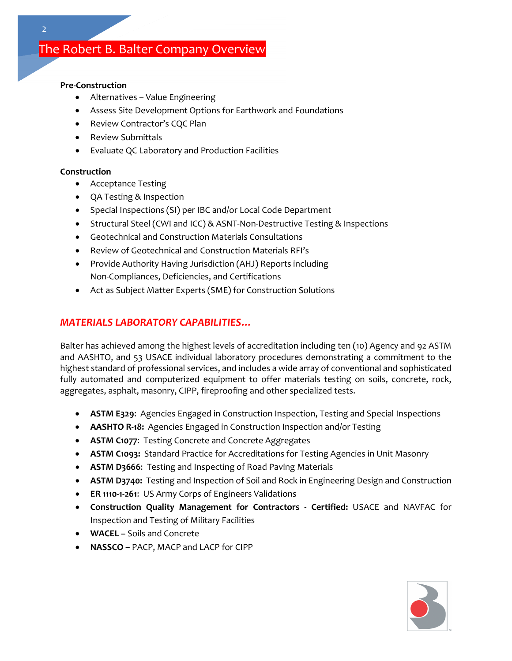# The Robert B. Balter Company Overview

#### **Pre-Construction**

- Alternatives Value Engineering
- Assess Site Development Options for Earthwork and Foundations
- Review Contractor's CQC Plan
- Review Submittals
- Evaluate QC Laboratory and Production Facilities

#### **Construction**

- Acceptance Testing
- QA Testing & Inspection
- Special Inspections (SI) per IBC and/or Local Code Department
- Structural Steel (CWI and ICC) & ASNT-Non-Destructive Testing & Inspections
- Geotechnical and Construction Materials Consultations
- Review of Geotechnical and Construction Materials RFI's
- Provide Authority Having Jurisdiction (AHJ) Reports including Non-Compliances, Deficiencies, and Certifications
- Act as Subject Matter Experts (SME) for Construction Solutions

### *MATERIALS LABORATORY CAPABILITIES…*

Balter has achieved among the highest levels of accreditation including ten (10) Agency and 92 ASTM and AASHTO, and 53 USACE individual laboratory procedures demonstrating a commitment to the highest standard of professional services, and includes a wide array of conventional and sophisticated fully automated and computerized equipment to offer materials testing on soils, concrete, rock, aggregates, asphalt, masonry, CIPP, fireproofing and other specialized tests.

- **ASTM E329**: Agencies Engaged in Construction Inspection, Testing and Special Inspections
- **AASHTO R-18:** Agencies Engaged in Construction Inspection and/or Testing
- **ASTM C1077**: Testing Concrete and Concrete Aggregates
- **ASTM C1093:** Standard Practice for Accreditations for Testing Agencies in Unit Masonry
- **ASTM D3666**: Testing and Inspecting of Road Paving Materials
- **ASTM D3740:** Testing and Inspection of Soil and Rock in Engineering Design and Construction
- **ER 1110-1-261**: US Army Corps of Engineers Validations
- **Construction Quality Management for Contractors - Certified:** USACE and NAVFAC for Inspection and Testing of Military Facilities
- **WACEL –** Soils and Concrete
- **NASSCO –** PACP, MACP and LACP for CIPP